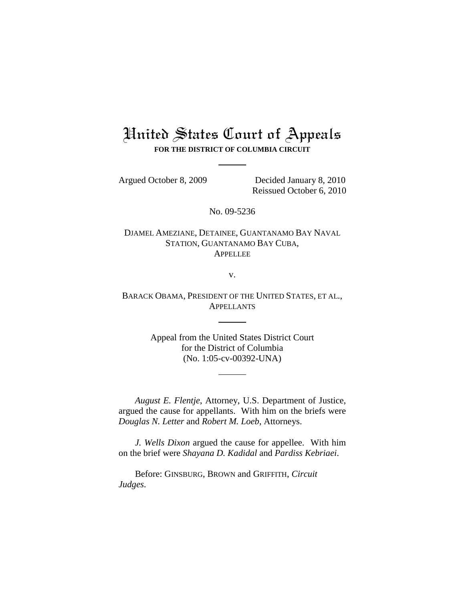# United States Court of Appeals **FOR THE DISTRICT OF COLUMBIA CIRCUIT**

Argued October 8, 2009 Decided January 8, 2010

Reissued October 6, 2010

No. 09-5236

DJAMEL AMEZIANE, DETAINEE, GUANTANAMO BAY NAVAL STATION, GUANTANAMO BAY CUBA, APPELLEE

v.

BARACK OBAMA, PRESIDENT OF THE UNITED STATES, ET AL., **APPELLANTS** 

> Appeal from the United States District Court for the District of Columbia (No. 1:05-cv-00392-UNA)

*August E. Flentje*, Attorney, U.S. Department of Justice, argued the cause for appellants. With him on the briefs were *Douglas N. Letter* and *Robert M. Loeb*, Attorneys.

*J. Wells Dixon* argued the cause for appellee. With him on the brief were *Shayana D. Kadidal* and *Pardiss Kebriaei*.

Before: GINSBURG, BROWN and GRIFFITH, *Circuit Judges*.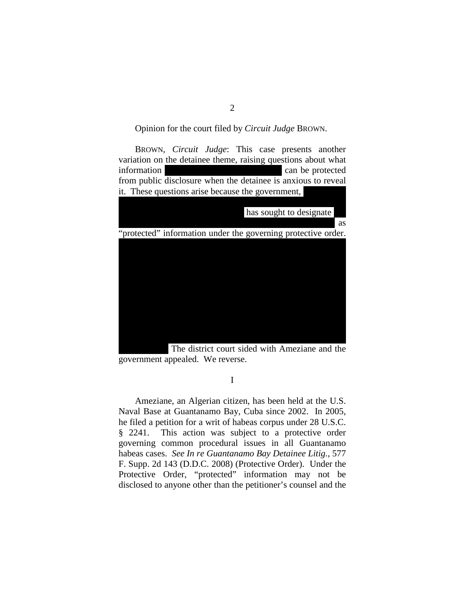Opinion for the court filed by *Circuit Judge* BROWN.

BROWN, *Circuit Judge*: This case presents another variation on the detainee theme, raising questions about what information  $\Box$  ''  $\Box$  ''  $\Box$  ''  $\Box$  ''  $\Box$  ''  $\Box$  ''  $\Box$  '' ''  $\Box$  '''  $\Box$  '''  $\Box$  '''  $\Box$  '''  $\Box$  '''  $\Box$  '''  $\Box$  '''  $\Box$  '''  $\Box$  '''  $\Box$  '''  $\Box$  '''  $\Box$  '''  $\Box$  '''  $\Box$  '''  $\Box$  '''  $\Box$  '''  $\Box$  '' from public disclosure when the detainee is anxious to reveal it. These questions arise because the government,

| has sought to designate                                       |    |
|---------------------------------------------------------------|----|
|                                                               | as |
| "protected" information under the governing protective order. |    |
|                                                               |    |
|                                                               |    |
|                                                               |    |
|                                                               |    |
|                                                               |    |
|                                                               |    |
|                                                               |    |
|                                                               |    |
|                                                               |    |
|                                                               |    |

The district court sided with Ameziane and the government appealed. We reverse.

I

Ameziane, an Algerian citizen, has been held at the U.S. Naval Base at Guantanamo Bay, Cuba since 2002. In 2005, he filed a petition for a writ of habeas corpus under 28 U.S.C. § 2241. This action was subject to a protective order governing common procedural issues in all Guantanamo habeas cases. *See In re Guantanamo Bay Detainee Litig.*, 577 F. Supp. 2d 143 (D.D.C. 2008) (Protective Order). Under the Protective Order, "protected" information may not be disclosed to anyone other than the petitioner's counsel and the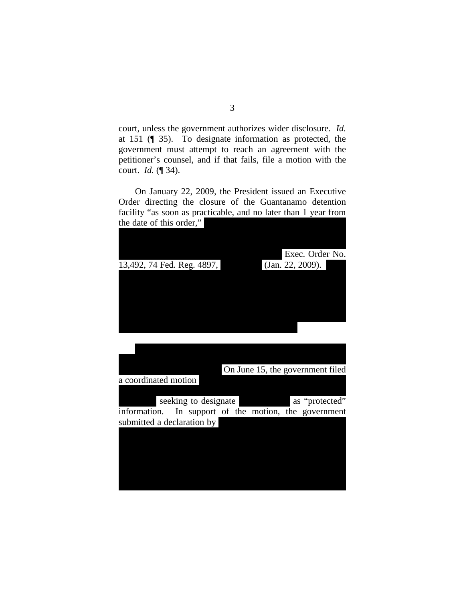court, unless the government authorizes wider disclosure. Id. at 151 ( $\parallel$  35). To designate information as protected, the government must attempt to reach an agreement with the petitioner's counsel, and if that fails, file a motion with the court. *Id.* (¶ 34).

On January 22, 2009, the President issued an Executive Order directing the closure of the Guantanamo detention facility "as soon as practicable, and no later than 1 year from the date of this order,"

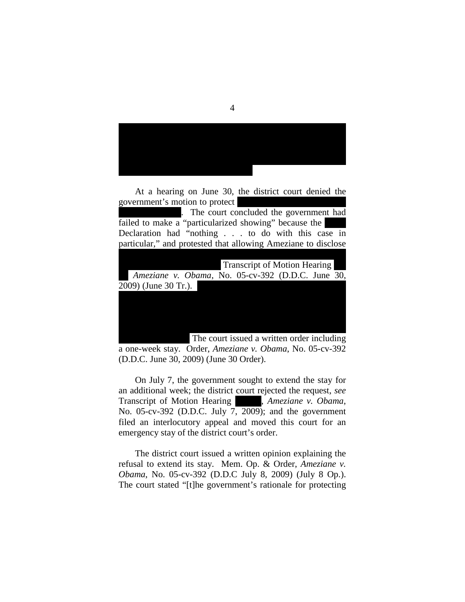

At a hearing on June 30, the district court denied the government's motion to protect

The court concluded the government had failed to make a "particularized showing" because the Declaration had "nothing . . . to do with this case in particular," and protested that allowing Ameziane to disclose



a one-week stay. Order, *Ameziane v. Obama*, No. 05-cv-392 (D.D.C. June 30, 2009) (June 30 Order).

On July 7, the government sought to extend the stay for an additional week; the district court rejected the request, *see* Transcript of Motion Hearing , *Ameziane v. Obama*, No. 05-cv-392 (D.D.C. July 7, 2009); and the government filed an interlocutory appeal and moved this court for an emergency stay of the district court's order.

The district court issued a written opinion explaining the refusal to extend its stay. Mem. Op. & Order, *Ameziane v. Obama*, No. 05-cv-392 (D.D.C July 8, 2009) (July 8 Op.). The court stated "[t]he government's rationale for protecting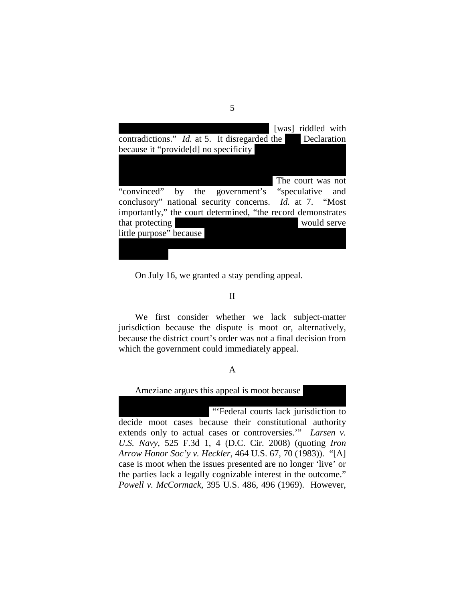[was] riddled with contradictions." *Id.* at 5. It disregarded the Declaration because it "provide[d] no specificity ''' ''' ''' ''' ''' ''' ''' ''' ''' ''' ''' ''' ''' ''' ''' ''' ''' ''' ''' '''' ''' ''' '''' ''' ''' '''' ''' ''' ''' ''' ''' ''' ''' ''' ''' ''' ''' ''' ''' ''' ''' ''' ''' ''' ''' ''' ''' ''' ''' ''' ''' ''' ''' ''' ''' ''' ''' ''' ''' ''' ''' ''' ''' ''' The court was not by the government's "speculative and conclusory" national security concerns. *Id.* at 7. "Most importantly," the court determined, "the record demonstrates that protecting vould serve little purpose" because ''' ''' ''' ''' '''' ''' ''' ''' ''' ''' ''' '''' ''' ''' ''' ''' ''' ''' ''' ''' ''' ''' ''' '''' ''' ''' '''

On July 16, we granted a stay pending appeal.

## II

We first consider whether we lack subject-matter jurisdiction because the dispute is moot or, alternatively, because the district court's order was not a final decision from which the government could immediately appeal.

#### A

''' ''' ''' ''' ''' ''' ''' '''' ''' ''' '''' ''' ''' ''' ''' '''' ''' ''' ''' ''' ''' ''''

## Ameziane argues this appeal is moot because

''' ''' ''' ''' ''' ''' ''' ''' ''' ''' ''' "'Federal courts lack jurisdiction to decide moot cases because their constitutional authority extends only to actual cases or controversies.'" *Larsen v. U.S. Navy*, 525 F.3d 1, 4 (D.C. Cir. 2008) (quoting *Iron Arrow Honor Soc'y v. Heckler*, 464 U.S. 67, 70 (1983)). "[A] case is moot when the issues presented are no longer 'live' or the parties lack a legally cognizable interest in the outcome." *Powell v. McCormack*, 395 U.S. 486, 496 (1969). However,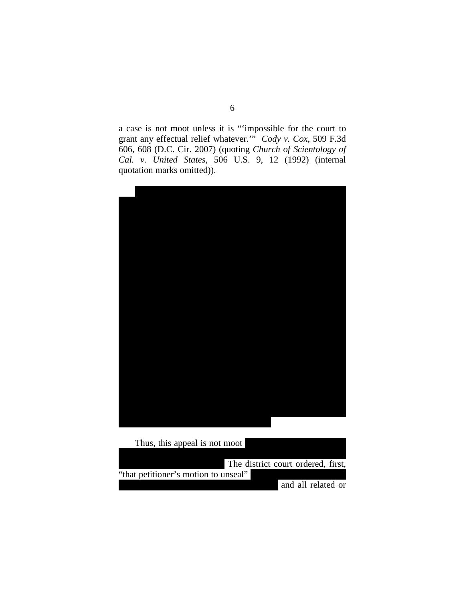a case is not moot unless it is "'impossible for the court to grant any effectual relief whatever.'" *Cody v. Cox,* 509 F.3d 606, 608 (D.C. Cir. 2007) (quoting *Church of Scientology of* Cal. v. United States, 506 U.S. 9, 12 (1992) (internal quotation marks omitted)).



| Thus, this appeal is not moot        |  |                                    |  |
|--------------------------------------|--|------------------------------------|--|
|                                      |  |                                    |  |
|                                      |  | The district court ordered, first, |  |
| "that petitioner's motion to unseal" |  |                                    |  |
|                                      |  | and all related or                 |  |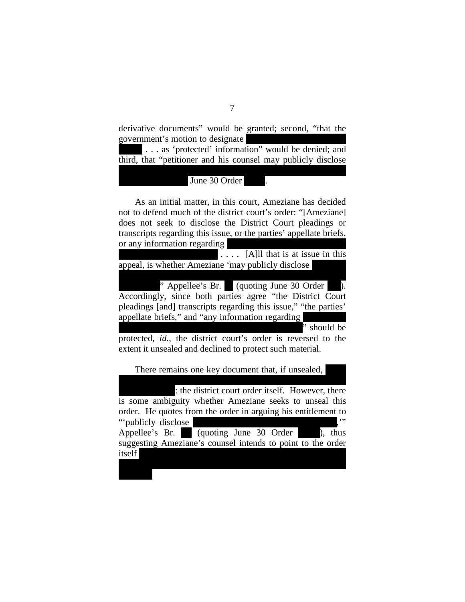derivative documents" would be granted; second, "that the government's motion to designate

... as 'protected' information'' would be denied; and third, that "petitioner and his counsel may publicly disclose ''' ''' ''' ''' ''' ''' ''' ''' ''' ''' ''' ''' '''' ''' ''' ''' ''' '''' ''' ''' '''' ''' ''' ''' ''' ''' ''' ''' ''' ''' '

### June 30 Order

As an initial matter, in this court, Ameziane has decided not to defend much of the district court's order: "[Ameziane] does not seek to disclose the District Court pleadings or transcripts regarding this issue, or the parties' appellate briefs, or any information regarding

 $\cdots$  [A]ll that is at issue in this appeal, is whether Ameziane 'may publicly disclose

''' ''' ''' '''' '' ' ''' ''' ''' '''' ''' ''' ''' ''' ''' ''' ''' ''' ''' ''' ''' ''' ''' '''  $'$  '' Appellee's Br.  $'$  (quoting June 30 Order ). Accordingly, since both parties agree "the District Court pleadings [and] transcripts regarding this issue," "the parties' appellate briefs," and "any information regarding " should be

protected, *id.*, the district court's order is reversed to the extent it unsealed and declined to protect such material.

#### There remains one key document that, if unsealed,

''' ''' ''' ''' ''' ''' ''' ''' ''' ''' ''' ''' ''' ''' ''' ''' ''' ''' ''' ''' ''' ''' : the district court order itself. However, there is some ambiguity whether Ameziane seeks to unseal this order. He quotes from the order in arguing his entitlement to "'publicly disclose Appellee's Br. (quoting June 30 Order ), thus suggesting Ameziane's counsel intends to point to the order  $\text{itself}$ '''' ''' ''' ''' ''' ''' ''' ''' '''' ''' ''' ''' ''' ''' ''' ''' ''' '''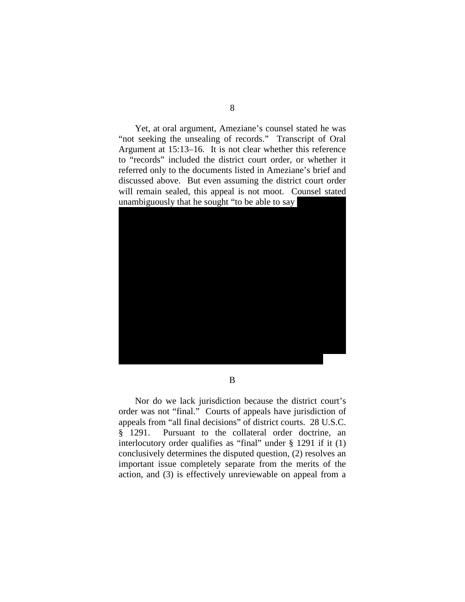Yet, at oral argument, Ameziane's counsel stated he was "not seeking the unsealing of records." Transcript of Oral Argument at 15:13–16. It is not clear whether this reference to "records" included the district court order, or whether it referred only to the documents listed in Ameziane's brief and discussed above. But even assuming the district court order will remain sealed, this appeal is not moot. Counsel stated unambiguously that he sought "to be able to say



B

Nor do we lack jurisdiction because the district court's order was not "final." Courts of appeals have jurisdiction of appeals from "all final decisions" of district courts. 28 U.S.C. § 1291. Pursuant to the collateral order doctrine, an interlocutory order qualifies as "final" under § 1291 if it (1) conclusively determines the disputed question, (2) resolves an important issue completely separate from the merits of the action, and (3) is effectively unreviewable on appeal from a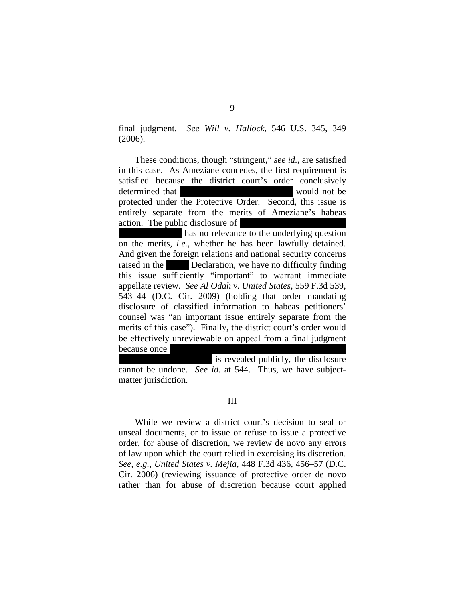final judgment. *See Will v. Hallock*, 546 U.S. 345, 349 (2006).

These conditions, though "stringent," *see id.*, are satisfied in this case. As Ameziane concedes, the first requirement is satisfied because the district court's order conclusively determined that ''' ''' ''' ''' ''' ''' ''' ''' ''' ''' '''' '''' ''' would not be protected under the Protective Order. Second, this issue is entirely separate from the merits of Ameziane's habeas action. The public disclosure of

has no relevance to the underlying question on the merits, *i.e.*, whether he has been lawfully detained. And given the foreign relations and national security concerns raised in the  $\blacksquare$  Declaration, we have no difficulty finding this issue sufficiently "important" to warrant immediate appellate review. *See Al Odah v. United States*, 559 F.3d 539, 543–44 (D.C. Cir. 2009) (holding that order mandating disclosure of classified information to habeas petitioners' counsel was "an important issue entirely separate from the merits of this case"). Finally, the district court's order would be effectively unreviewable on appeal from a final judgment because once

is revealed publicly, the disclosure cannot be undone. *See id.* at 544. Thus, we have subjectmatter jurisdiction.

#### III

While we review a district court's decision to seal or unseal documents, or to issue or refuse to issue a protective order, for abuse of discretion, we review de novo any errors of law upon which the court relied in exercising its discretion. *See, e.g.*, *United States v. Mejia*, 448 F.3d 436, 456–57 (D.C. Cir. 2006) (reviewing issuance of protective order de novo rather than for abuse of discretion because court applied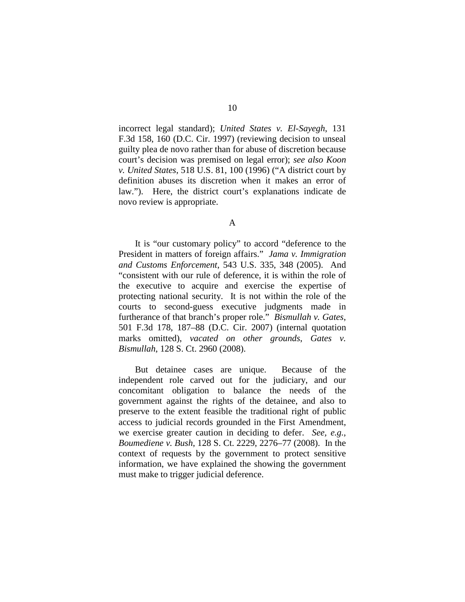incorrect legal standard); *United States v. El-Sayegh*, 131 F.3d 158, 160 (D.C. Cir. 1997) (reviewing decision to unseal guilty plea de novo rather than for abuse of discretion because court's decision was premised on legal error); *see also Koon v. United States*, 518 U.S. 81, 100 (1996) ("A district court by definition abuses its discretion when it makes an error of law."). Here, the district court's explanations indicate de novo review is appropriate.

It is "our customary policy" to accord "deference to the President in matters of foreign affairs." *Jama v. Immigration and Customs Enforcement*, 543 U.S. 335, 348 (2005). And "consistent with our rule of deference, it is within the role of the executive to acquire and exercise the expertise of protecting national security. It is not within the role of the courts to second-guess executive judgments made in furtherance of that branch's proper role." *Bismullah v. Gates*, 501 F.3d 178, 187–88 (D.C. Cir. 2007) (internal quotation marks omitted), *vacated on other grounds*, *Gates v. Bismullah*, 128 S. Ct. 2960 (2008).

But detainee cases are unique. Because of the independent role carved out for the judiciary, and our concomitant obligation to balance the needs of the government against the rights of the detainee, and also to preserve to the extent feasible the traditional right of public access to judicial records grounded in the First Amendment, we exercise greater caution in deciding to defer. *See, e.g.*, *Boumediene v. Bush*, 128 S. Ct. 2229, 2276–77 (2008). In the context of requests by the government to protect sensitive information, we have explained the showing the government must make to trigger judicial deference.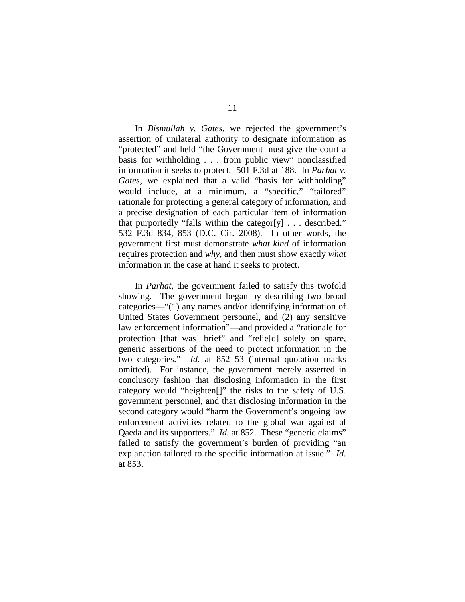In *Bismullah v. Gates*, we rejected the government's assertion of unilateral authority to designate information as "protected" and held "the Government must give the court a basis for withholding . . . from public view" nonclassified information it seeks to protect. 501 F.3d at 188. In *Parhat v. Gates*, we explained that a valid "basis for withholding" would include, at a minimum, a "specific," "tailored" rationale for protecting a general category of information, and a precise designation of each particular item of information that purportedly "falls within the categor[y] . . . described." 532 F.3d 834, 853 (D.C. Cir. 2008). In other words, the government first must demonstrate *what kind* of information requires protection and *why*, and then must show exactly *what* information in the case at hand it seeks to protect.

In *Parhat*, the government failed to satisfy this twofold showing. The government began by describing two broad categories—"(1) any names and/or identifying information of United States Government personnel, and (2) any sensitive law enforcement information"—and provided a "rationale for protection [that was] brief" and "relie[d] solely on spare, generic assertions of the need to protect information in the two categories." *Id.* at 852–53 (internal quotation marks omitted). For instance, the government merely asserted in conclusory fashion that disclosing information in the first category would "heighten[]" the risks to the safety of U.S. government personnel, and that disclosing information in the second category would "harm the Government's ongoing law enforcement activities related to the global war against al Qaeda and its supporters." *Id.* at 852. These "generic claims" failed to satisfy the government's burden of providing "an explanation tailored to the specific information at issue." *Id.* at 853.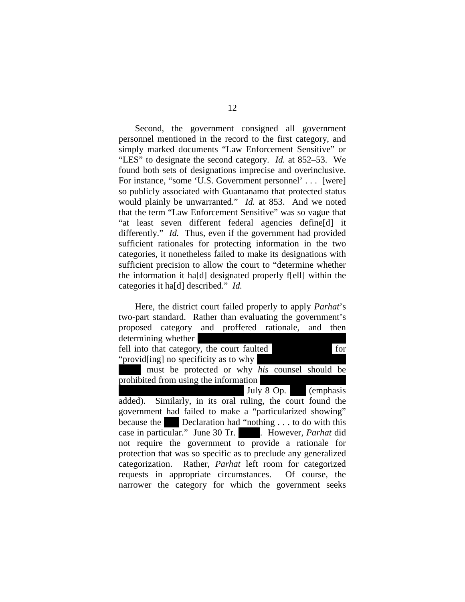Second, the government consigned all government personnel mentioned in the record to the first category, and simply marked documents "Law Enforcement Sensitive" or "LES" to designate the second category. *Id.* at 852–53. We found both sets of designations imprecise and overinclusive. For instance, "some 'U.S. Government personnel' . . . [were] so publicly associated with Guantanamo that protected status would plainly be unwarranted." *Id.* at 853. And we noted that the term "Law Enforcement Sensitive" was so vague that "at least seven different federal agencies define[d] it differently." *Id.* Thus, even if the government had provided sufficient rationales for protecting information in the two categories, it nonetheless failed to make its designations with sufficient precision to allow the court to "determine whether the information it ha[d] designated properly f[ell] within the categories it ha[d] described." *Id.*

| Here, the district court failed properly to apply <i>Parhat's</i> |
|-------------------------------------------------------------------|
| two-part standard. Rather than evaluating the government's        |
| proposed category and proffered rationale, and then               |
| determining whether                                               |
| fell into that category, the court faulted<br>for                 |
| "provid[ing] no specificity as to why                             |
| must be protected or why his counsel should be                    |
| prohibited from using the information                             |
| July 8 Op. (emphasis                                              |
| added). Similarly, in its oral ruling, the court found the        |
| government had failed to make a "particularized showing"          |
| because the <b>Declaration</b> had "nothing to do with this       |
| case in particular." June 30 Tr. 11. However, <i>Parhat</i> did   |
| not require the government to provide a rationale for             |
| protection that was so specific as to preclude any generalized    |
| categorization. Rather, <i>Parhat</i> left room for categorized   |
| requests in appropriate circumstances. Of course, the             |
| narrower the category for which the government seeks              |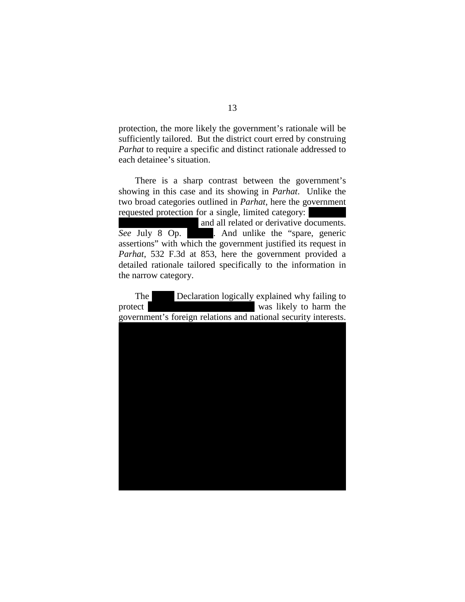protection, the more likely the government's rationale will be sufficiently tailored. But the district court erred by construing *Parhat* to require a specific and distinct rationale addressed to each detainee's situation.

There is a sharp contrast between the government's showing in this case and its showing in *Parhat*. Unlike the two broad categories outlined in *Parhat*, here the government requested protection for a single, limited category: and all related or derivative documents. See July 8 Op. And unlike the "spare, generic assertions" with which the government justified its request in *Parhat*, 532 F.3d at 853, here the government provided a detailed rationale tailored specifically to the information in the narrow category.

The Declaration logically explained why failing to protect was likely to harm the government's foreign relations and national security interests.

''' ''' ''' ''' ''' ''' ''' ''' ''' ''' ''' ''' ''' ''' ''' ''' ''' ''' ''' ''' ''' ''' ''' ''' ''' ''' ''' ''' ''' ''' ''' ''' ''' ''' ''' ''' '''' ''' ''' ''' ''' ''' ''' ''' ''' ''' ''' ''' ''' ''' ''' ''' ''' ''' ''' ''' ''' ''' ''' ''' ''' ''' ''' ''' ''' ''' ''' ''' ''' ''' ''' ''' ''' ''' ''' ''' ''' ''' ''' ''' ''' ''' ''' ''' ''' ''' ''' ''' ''' ''' ''' ''' ''' ''' ''' ''' ''' ''' ''' ''' ''' ''' ''' ''' ''' ''' '''' ''' ''' '''' ''' ''' ''' ''' ''' ''' ''' ''' '''' ''' '''' ''' ''' ''' ''' ''' ''' ''' '''' ''' ''' ''' ''' ''' ''' ''' ''' '''' ''' ''' ''' ''' '''' ''' ''' ''' ''' ''' ''' ''' ''' ''' ''' '''' ''' ''' '''' ''' ''' ''' ''' ''' ''' ''' ''' ''' ''' ''' ''' ''' ''' ''' ''' '''' ''' ''' ''' ''' ''' ''' ''' ''' ''' ''' ''' ''' '''' ''' ''' ''' ''' ''' ''' ''' ''' ''' ''' ''' ''' ''' ''' ''' ''' ''' ''' '''' ''' ''' ''' ''' ''' ''' '''' ''' ''' ''' ''' ''' ''' '''' ''' ''' ''' ''' ''' ''' ''' ''' ''' '''' ''' ''' ''' ''' ''' '''' '''' ''' ''' ''' ''' ''' ''' ''' ''' ''' '''' ''' ''' ''' ''' '''' ''' ''' ''' ''' ''' ''' '''' '''' ''' ''' ''' ''' '''' ''' ''' ''' ''' ''' ''' ''' ''' ''' ''' ''' ''' ''' ''' ''' ''' ''' ''' '''' ''' '''' ''' ''' ''' ''' ''' ''' ''' ''' ''' ''' ''' '''' ''' '''' ''' ''' ''' ''' '''' ''' ''' ''' ''' ''' ''' ''' ''' ''' ''' ''' ''' ''' ''' ''' ''' ''' ''' ''' ''' ''' ''' ''' ''' ''' ''' ''' ''' ''' ''' ''' ''' ''' ''' ''' ''' '''' ''' ''' ''' ''' '''' ''' ''' ''' ''' ''' ''' ''' ''' ''' ''' '''' ''' ''' ''' ''' ''' ''' ''' ''' ''' ''' ''' '''' ''' ''' ''' ''' ''' ''' '''' ''' ''' ''' ''' ''' ''' ''' ''' ''' ''' ''' '''' ''' ''' ''' ''' ''' ''' ''' ''' ''' ''' ''' ''' ''' ''' ''' ''' ''' ''' ''' ''' ''' '''' ''' ''' ''' ''' ''' ''' ''' ''' ''' ''' ''' ''' ''' ''' ''' ''' ''' ''' ''' ''' ''' ''' '''' ''' ''' '''' ''' ''' ''' ''' ''' ''' ''' ''' ''' ''' ''' ''' ''' ''' ''' ''' ''' ''' ''' '''' ''' ''' '''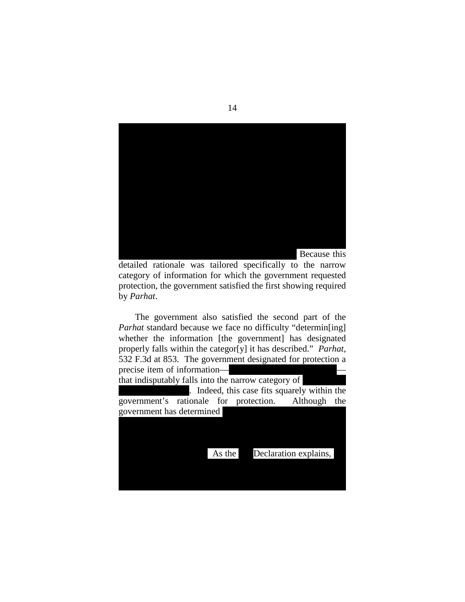

detailed rationale was tailored specifically to the narrow category of information for which the government requested protection, the government satisfied the first showing required by Parhat.

The government also satisfied the second part of the *Parhat* standard because we face no difficulty "determin[ing] whether the information [the government] has designated properly falls within the categor[y] it has described." Parhat, 532 F.3d at 853. The government designated for protection a precise item of informationthat indisputably falls into the narrow category of . Indeed, this case fits squarely within the government's rationale for protection. Although the government has determined

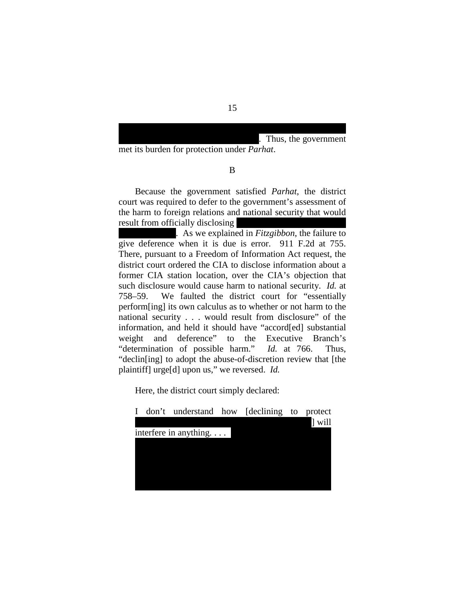. Thus, the government met its burden for protection under *Parhat*.

B

Because the government satisfied *Parhat*, the district court was required to defer to the government's assessment of the harm to foreign relations and national security that would result from officially disclosing

. As we explained in *Fitzgibbon*, the failure to give deference when it is due is error. 911 F.2d at 755. There, pursuant to a Freedom of Information Act request, the district court ordered the CIA to disclose information about a former CIA station location, over the CIA's objection that such disclosure would cause harm to national security. *Id.* at 758–59. We faulted the district court for "essentially perform[ing] its own calculus as to whether or not harm to the national security . . . would result from disclosure" of the information, and held it should have "accord[ed] substantial weight and deference" to the Executive Branch's "determination of possible harm." *Id.* at 766. Thus, "declin[ing] to adopt the abuse-of-discretion review that [the plaintiff] urge[d] upon us," we reversed. *Id.*

Here, the district court simply declared:

|  | don't understand how [declining |  | to | protect |
|--|---------------------------------|--|----|---------|
|  |                                 |  |    | ] will  |
|  | interfere in anything           |  |    |         |
|  |                                 |  |    |         |
|  |                                 |  |    |         |
|  |                                 |  |    |         |
|  |                                 |  |    |         |
|  |                                 |  |    |         |

'''' ''' ''' '''' ''' ''' ''' ''' '''' '''' ''' ''' ''' '''' ''' ''' ''' '''' ''' ''' ''' ''' ''' ''' '''' '''' ''' ''' ''''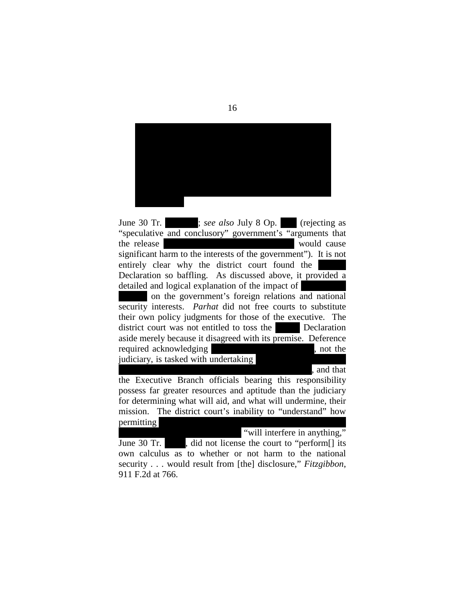

June  $30$  Tr. *see also July 8 Op.* (rejecting as "speculative and conclusory" government's "arguments that the release would cause significant harm to the interests of the government"). It is not entirely clear why the district court found the Declaration so baffling. As discussed above, it provided a detailed and logical explanation of the impact of on the government's foreign relations and national security interests. Parhat did not free courts to substitute their own policy judgments for those of the executive. The district court was not entitled to toss the Declaration aside merely because it disagreed with its premise. Deference required acknowledging , not the judiciary, is tasked with undertaking and that the Executive Branch officials bearing this responsibility possess far greater resources and aptitude than the judiciary for determining what will aid, and what will undermine, their mission. The district court's inability to "understand" how permitting "will interfere in anything," did not license the court to "perform[] its June 30 Tr.

own calculus as to whether or not harm to the national security . . . would result from [the] disclosure," Fitzgibbon, 911 F.2d at 766.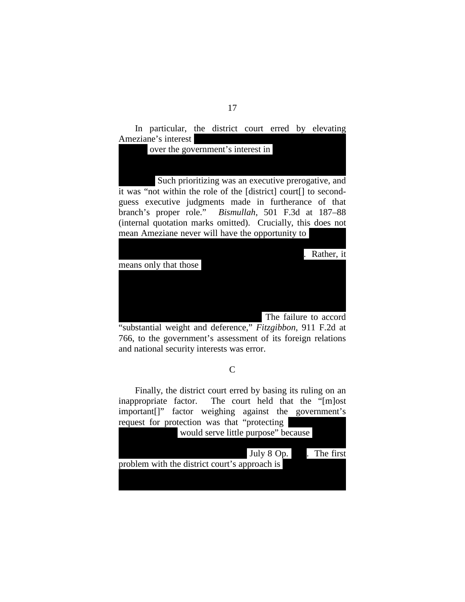In particular, the district court erred by elevating Ameziane's interest

'''' ''' ''' ''' ''' ''' ''' ''' '''' '''' ''' ''' '''' ''' ''' ''' ''' ''' ''' '''

over the government's interest in

''' ''' ''' ''' ''' ''' ''' ''' ''' ''' ''' ''' ''' ''' ''' ''' ''' ''' ''' '''' '''' ''' ''' ''' ''' ''' Such prioritizing was an executive prerogative, and it was "not within the role of the [district] court[] to secondguess executive judgments made in furtherance of that branch's proper role." *Bismullah*, 501 F.3d at 187–88 branch's proper role." *Bismullah*, 501 F.3d at 187–88 (internal quotation marks omitted). Crucially, this does not mean Ameziane never will have the opportunity to



"substantial weight and deference," *Fitzgibbon*, 911 F.2d at 766, to the government's assessment of its foreign relations and national security interests was error.

## C

Finally, the district court erred by basing its ruling on an inappropriate factor. The court held that the "[m]ost important[]" factor weighing against the government's request for protection was that "protecting ' would serve little purpose" because ''' ''' ''' '''' ''' ''' ''' '''' ''' ''' ''' ''' ''' ''' ''' ''' ''' ''' ''' ''' ''' ''' ''' ''' ''' '''' '''' ''' ''' '''' July 8 Op. . The first problem with the district court's approach is ''' ''' ''' ''' ''' ''' ''' ''' ''' ''' '''' ''' ''' ''' '''' ''' '''' ''' ''' ''' ''' ''' ''' '''' ''' ''' ''' ''' '''' '''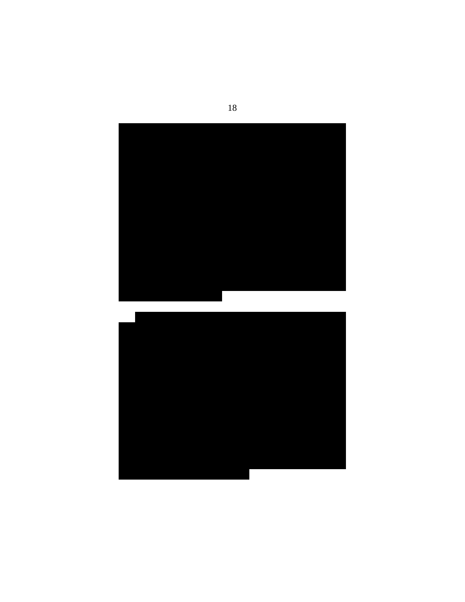